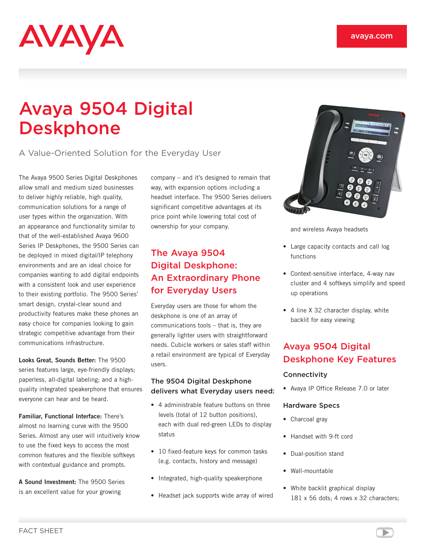# AVAYA

# Avaya 9504 Digital Deskphone

A Value-Oriented Solution for the Everyday User

The Avaya 9500 Series Digital Deskphones allow small and medium sized businesses to deliver highly reliable, high quality, communication solutions for a range of user types within the organization. With an appearance and functionality similar to that of the well-established Avaya 9600 Series IP Deskphones, the 9500 Series can be deployed in mixed digital/IP telephony environments and are an ideal choice for companies wanting to add digital endpoints with a consistent look and user experience to their existing portfolio. The 9500 Series' smart design, crystal-clear sound and productivity features make these phones an easy choice for companies looking to gain strategic competitive advantage from their communications infrastructure.

**Looks Great, Sounds Better:** The 9500 series features large, eye-friendly displays; paperless, all-digital labeling; and a highquality integrated speakerphone that ensures everyone can hear and be heard.

**Familiar, Functional Interface:** There's almost no learning curve with the 9500 Series. Almost any user will intuitively know to use the fixed keys to access the most common features and the flexible softkeys with contextual guidance and prompts.

**A Sound Investment:** The 9500 Series is an excellent value for your growing

company – and it's designed to remain that way, with expansion options including a headset interface. The 9500 Series delivers significant competitive advantages at its price point while lowering total cost of ownership for your company.

## The Avaya 9504 Digital Deskphone: An Extraordinary Phone for Everyday Users

Everyday users are those for whom the deskphone is one of an array of communications tools – that is, they are generally lighter users with straightforward needs. Cubicle workers or sales staff within a retail environment are typical of Everyday users.

#### The 9504 Digital Deskphone delivers what Everyday users need:

- 4 administrable feature buttons on three levels (total of 12 button positions), each with dual red-green LEDs to display status
- 10 fixed-feature keys for common tasks (e.g. contacts, history and message)
- Integrated, high-quality speakerphone
- Headset jack supports wide array of wired



and wireless Avaya headsets

- Large capacity contacts and call log functions
- Context-sensitive interface, 4-way nav cluster and 4 softkeys simplify and speed up operations
- 4 line X 32 character display, white backlit for easy viewing

# Avaya 9504 Digital Deskphone Key Features

#### **Connectivity**

• Avaya IP Office Release 7.0 or later

#### Hardware Specs

- Charcoal gray
- Handset with 9-ft cord
- Dual-position stand
- Wall-mountable
- White backlit graphical display 181 x 56 dots; 4 rows x 32 characters;